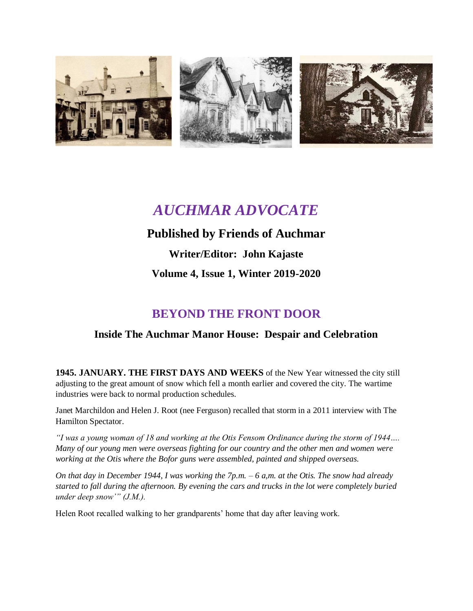

# *AUCHMAR ADVOCATE*

### **Published by Friends of Auchmar**

**Writer/Editor: John Kajaste Volume 4, Issue 1, Winter 2019-2020**

## **BEYOND THE FRONT DOOR**

### **Inside The Auchmar Manor House: Despair and Celebration**

**1945. JANUARY. THE FIRST DAYS AND WEEKS** of the New Year witnessed the city still adjusting to the great amount of snow which fell a month earlier and covered the city. The wartime industries were back to normal production schedules.

Janet Marchildon and Helen J. Root (nee Ferguson) recalled that storm in a 2011 interview with The Hamilton Spectator.

*"I was a young woman of 18 and working at the Otis Fensom Ordinance during the storm of 1944…. Many of our young men were overseas fighting for our country and the other men and women were working at the Otis where the Bofor guns were assembled, painted and shipped overseas.*

*On that day in December 1944, I was working the 7p.m. – 6 a,m. at the Otis. The snow had already started to fall during the afternoon. By evening the cars and trucks in the lot were completely buried under deep snow'" (J.M.).*

Helen Root recalled walking to her grandparents' home that day after leaving work.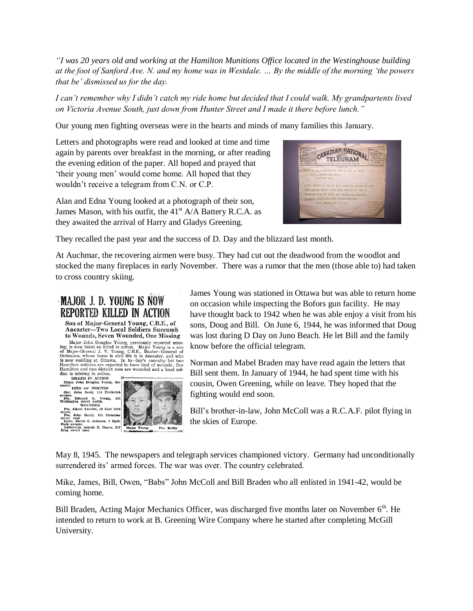*"I was 20 years old and working at the Hamilton Munitions Office located in the Westinghouse building at the foot of Sanford Ave. N. and my home was in Westdale. … By the middle of the morning 'the powers that be' dismissed us for the day.*

*I can't remember why I didn't catch my ride home but decided that I could walk. My grandpartents lived on Victoria Avenue South, just down from Hunter Street and I made it there before lunch."*

Our young men fighting overseas were in the hearts and minds of many families this January.

Letters and photographs were read and looked at time and time again by parents over breakfast in the morning, or after reading the evening edition of the paper. All hoped and prayed that 'their young men' would come home. All hoped that they wouldn't receive a telegram from C.N. or C.P.

Alan and Edna Young looked at a photograph of their son, James Mason, with his outfit, the  $41<sup>st</sup> A/A$  Battery R.C.A. as they awaited the arrival of Harry and Gladys Greening.



They recalled the past year and the success of D. Day and the blizzard last month.

At Auchmar, the recovering airmen were busy. They had cut out the deadwood from the woodlot and stocked the many fireplaces in early November. There was a rumor that the men (those able to) had taken to cross country skiing.

### MAJOR J. D. YOUNG IS NOW **REPORTED KILLED IN ACTION**

Son of Major-General Young, C.B.E., of Ancaster-Two Local Soldiers Succumb to Wounds, Seven Wounded, One Missing

Major John Douglas Young, previously reported missing, is now listed as killed in action. Major Young is a son of Major Ceneral J. V. Young, C.B.E., Master-General of Drainace, whose home in civil life is in Ancaster-Gener dier is missing in action.



John Reilly, 114 Strachan east.<br>David G. Johnson, 2 Hyde venue.<br>e-Cpl. Arnold E. Hayes, 312<br>treet cast.



James Young was stationed in Ottawa but was able to return home on occasion while inspecting the Bofors gun facility. He may have thought back to 1942 when he was able enjoy a visit from his sons, Doug and Bill. On June 6, 1944, he was informed that Doug was lost during D Day on Juno Beach. He let Bill and the family know before the official telegram.

Norman and Mabel Braden may have read again the letters that Bill sent them. In January of 1944, he had spent time with his cousin, Owen Greening, while on leave. They hoped that the fighting would end soon.

Bill's brother-in-law, John McColl was a R.C.A.F. pilot flying in the skies of Europe.

May 8, 1945. The newspapers and telegraph services championed victory. Germany had unconditionally surrendered its' armed forces. The war was over. The country celebrated.

Mike, James, Bill, Owen, "Babs" John McColl and Bill Braden who all enlisted in 1941-42, would be coming home.

Bill Braden, Acting Major Mechanics Officer, was discharged five months later on November 6<sup>th</sup>. He intended to return to work at B. Greening Wire Company where he started after completing McGill University.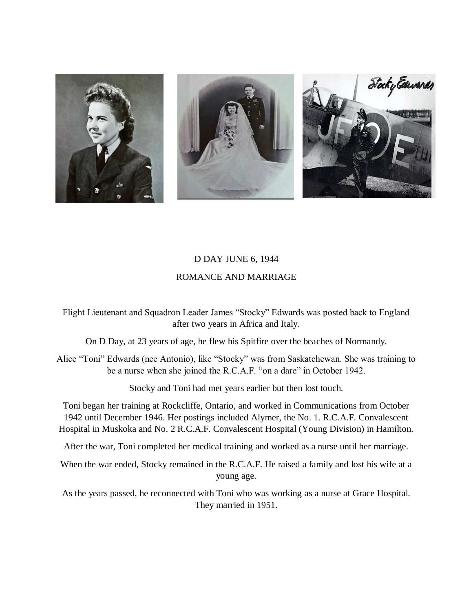

#### D DAY JUNE 6, 1944

#### ROMANCE AND MARRIAGE

Flight Lieutenant and Squadron Leader James "Stocky" Edwards was posted back to England after two years in Africa and Italy.

On D Day, at 23 years of age, he flew his Spitfire over the beaches of Normandy.

Alice "Toni" Edwards (nee Antonio), like "Stocky" was from Saskatchewan. She was training to be a nurse when she joined the R.C.A.F. "on a dare" in October 1942.

Stocky and Toni had met years earlier but then lost touch.

Toni began her training at Rockcliffe, Ontario, and worked in Communications from October 1942 until December 1946. Her postings included Alymer, the No. 1. R.C.A.F. Convalescent Hospital in Muskoka and No. 2 R.C.A.F. Convalescent Hospital (Young Division) in Hamilton.

After the war, Toni completed her medical training and worked as a nurse until her marriage.

When the war ended, Stocky remained in the R.C.A.F. He raised a family and lost his wife at a young age.

As the years passed, he reconnected with Toni who was working as a nurse at Grace Hospital. They married in 1951.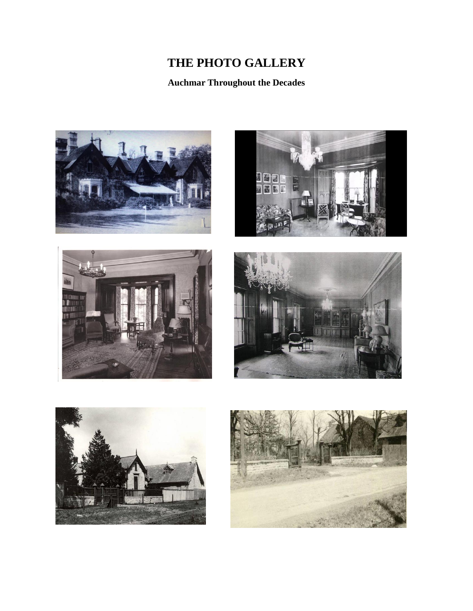# **THE PHOTO GALLERY**

**Auchmar Throughout the Decades**











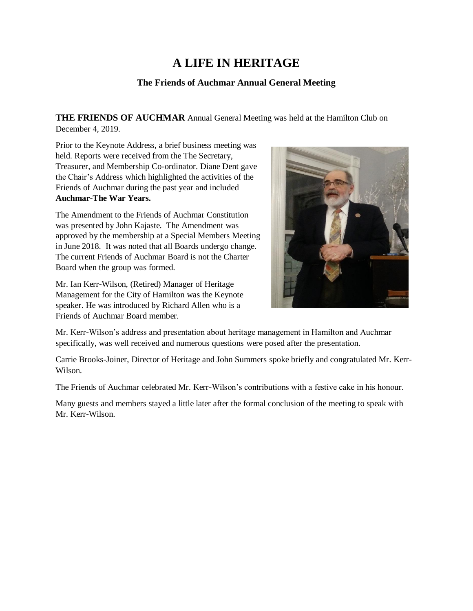## **A LIFE IN HERITAGE**

#### **The Friends of Auchmar Annual General Meeting**

**THE FRIENDS OF AUCHMAR** Annual General Meeting was held at the Hamilton Club on December 4, 2019.

Prior to the Keynote Address, a brief business meeting was held. Reports were received from the The Secretary, Treasurer, and Membership Co-ordinator. Diane Dent gave the Chair's Address which highlighted the activities of the Friends of Auchmar during the past year and included **Auchmar-The War Years.**

The Amendment to the Friends of Auchmar Constitution was presented by John Kajaste. The Amendment was approved by the membership at a Special Members Meeting in June 2018. It was noted that all Boards undergo change. The current Friends of Auchmar Board is not the Charter Board when the group was formed.

Mr. Ian Kerr-Wilson, (Retired) Manager of Heritage Management for the City of Hamilton was the Keynote speaker. He was introduced by Richard Allen who is a Friends of Auchmar Board member.



Mr. Kerr-Wilson's address and presentation about heritage management in Hamilton and Auchmar specifically, was well received and numerous questions were posed after the presentation.

Carrie Brooks-Joiner, Director of Heritage and John Summers spoke briefly and congratulated Mr. Kerr-Wilson.

The Friends of Auchmar celebrated Mr. Kerr-Wilson's contributions with a festive cake in his honour.

Many guests and members stayed a little later after the formal conclusion of the meeting to speak with Mr. Kerr-Wilson.